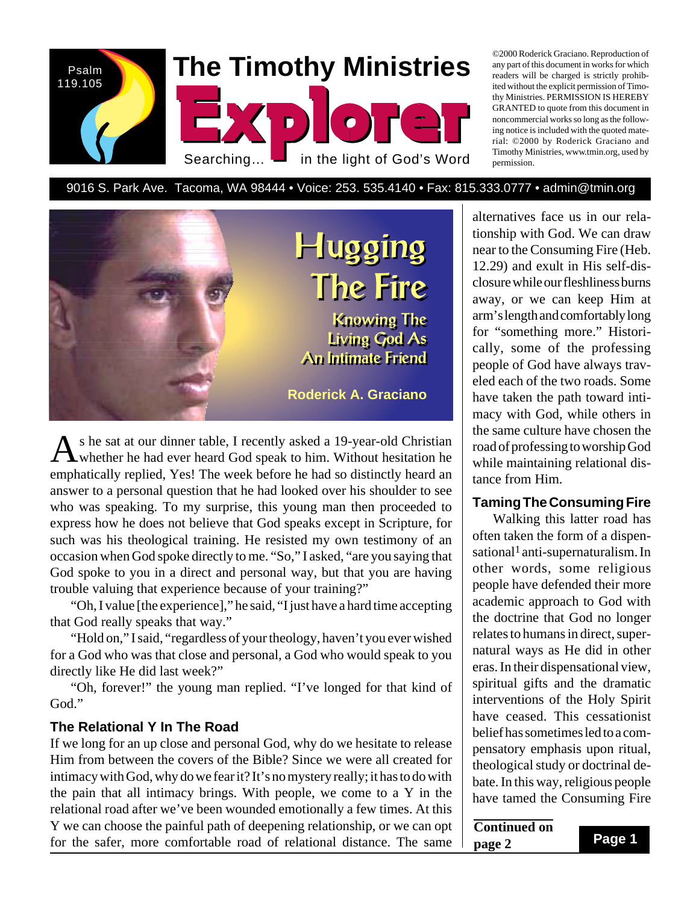

©2000 Roderick Graciano. Reproduction of any part of this document in works for which readers will be charged is strictly prohibited without the explicit permission of Timothy Ministries. PERMISSION IS HEREBY GRANTED to quote from this document in noncommercial works so long as the following notice is included with the quoted material: ©2000 by Roderick Graciano and Timothy Ministries, www.tmin.org, used by permission.

9016 S. Park Ave. Tacoma, WA 98444 • Voice: 253. 535.4140 • Fax: 815.333.0777 • admin@tmin.org



As he sat at our dinner table, I recently asked a 19-year-old Christian<br>whether he had ever heard God speak to him. Without hesitation he emphatically replied, Yes! The week before he had so distinctly heard an answer to a personal question that he had looked over his shoulder to see who was speaking. To my surprise, this young man then proceeded to express how he does not believe that God speaks except in Scripture, for such was his theological training. He resisted my own testimony of an occasion when God spoke directly to me. "So," I asked, "are you saying that God spoke to you in a direct and personal way, but that you are having trouble valuing that experience because of your training?"

"Oh, I value [the experience]," he said, "I just have a hard time accepting that God really speaks that way."

"Hold on," I said, "regardless of your theology, haven't you ever wished for a God who was that close and personal, a God who would speak to you directly like He did last week?"

"Oh, forever!" the young man replied. "I've longed for that kind of God."

#### **The Relational Y In The Road**

If we long for an up close and personal God, why do we hesitate to release Him from between the covers of the Bible? Since we were all created for intimacy with God, why do we fear it? It's no mystery really; it has to do with the pain that all intimacy brings. With people, we come to a Y in the relational road after we've been wounded emotionally a few times. At this Y we can choose the painful path of deepening relationship, or we can opt for the safer, more comfortable road of relational distance. The same alternatives face us in our relationship with God. We can draw near to the Consuming Fire (Heb. 12.29) and exult in His self-disclosure while our fleshliness burns away, or we can keep Him at arm's length and comfortably long for "something more." Historically, some of the professing people of God have always traveled each of the two roads. Some have taken the path toward intimacy with God, while others in the same culture have chosen the road of professing to worship God while maintaining relational distance from Him.

#### **Taming The Consuming Fire**

Walking this latter road has often taken the form of a dispensational<sup>1</sup> anti-supernaturalism. In other words, some religious people have defended their more academic approach to God with the doctrine that God no longer relates to humans in direct, supernatural ways as He did in other eras. In their dispensational view, spiritual gifts and the dramatic interventions of the Holy Spirit have ceased. This cessationist belief has sometimes led to a compensatory emphasis upon ritual, theological study or doctrinal debate. In this way, religious people have tamed the Consuming Fire

**Continued on page 2**

**Page 1**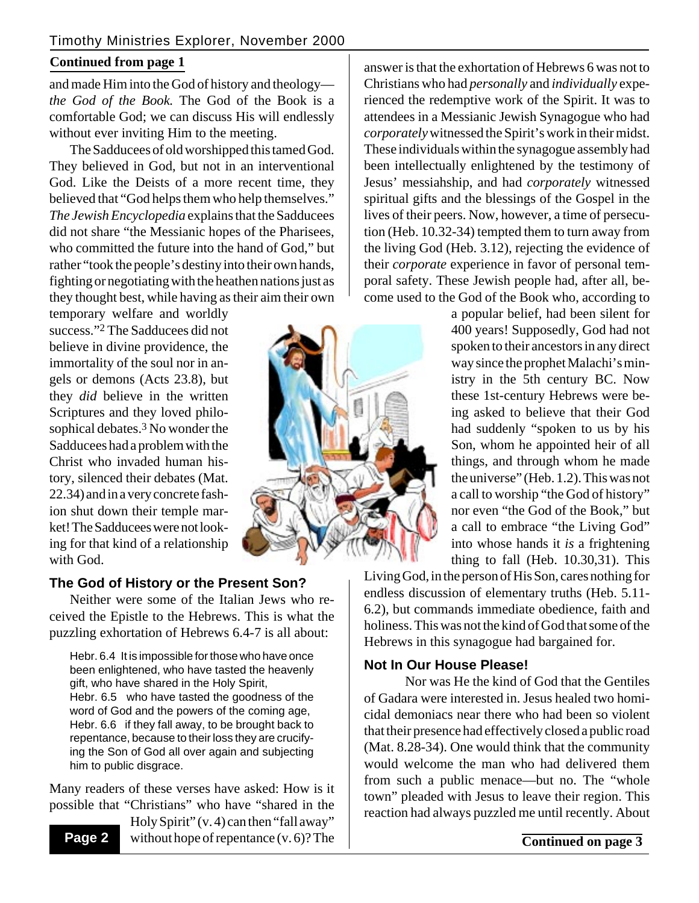### **Continued from page 1**

and made Him into the God of history and theology *the God of the Book.* The God of the Book is a comfortable God; we can discuss His will endlessly without ever inviting Him to the meeting.

The Sadducees of old worshipped this tamed God. They believed in God, but not in an interventional God. Like the Deists of a more recent time, they believed that "God helps them who help themselves." *The Jewish Encyclopedia* explains that the Sadducees did not share "the Messianic hopes of the Pharisees, who committed the future into the hand of God," but rather "took the people's destiny into their own hands, fighting or negotiating with the heathen nations just as they thought best, while having as their aim their own

temporary welfare and worldly success."2 The Sadducees did not believe in divine providence, the immortality of the soul nor in angels or demons (Acts 23.8), but they *did* believe in the written Scriptures and they loved philosophical debates.<sup>3</sup> No wonder the Sadducees had a problem with the Christ who invaded human history, silenced their debates (Mat. 22.34) and in a very concrete fashion shut down their temple market! The Sadducees were not looking for that kind of a relationship with God.



# **The God of History or the Present Son?**

Neither were some of the Italian Jews who received the Epistle to the Hebrews. This is what the puzzling exhortation of Hebrews 6.4-7 is all about:

Hebr. 6.4 It is impossible for those who have once been enlightened, who have tasted the heavenly gift, who have shared in the Holy Spirit, Hebr. 6.5 who have tasted the goodness of the word of God and the powers of the coming age, Hebr. 6.6 if they fall away, to be brought back to repentance, because to their loss they are crucifying the Son of God all over again and subjecting him to public disgrace.

Many readers of these verses have asked: How is it possible that "Christians" who have "shared in the

**Page 2**

Holy Spirit" (v. 4) can then "fall away" without hope of repentance (v. 6)? The answer is that the exhortation of Hebrews 6 was not to Christians who had *personally* and *individually* experienced the redemptive work of the Spirit. It was to attendees in a Messianic Jewish Synagogue who had *corporately* witnessed the Spirit's work in their midst. These individuals within the synagogue assembly had been intellectually enlightened by the testimony of Jesus' messiahship, and had *corporately* witnessed spiritual gifts and the blessings of the Gospel in the lives of their peers. Now, however, a time of persecution (Heb. 10.32-34) tempted them to turn away from the living God (Heb. 3.12), rejecting the evidence of their *corporate* experience in favor of personal temporal safety. These Jewish people had, after all, become used to the God of the Book who, according to

a popular belief, had been silent for 400 years! Supposedly, God had not spoken to their ancestors in any direct way since the prophet Malachi's ministry in the 5th century BC. Now these 1st-century Hebrews were being asked to believe that their God had suddenly "spoken to us by his Son, whom he appointed heir of all things, and through whom he made the universe" (Heb. 1.2). This was not a call to worship "the God of history" nor even "the God of the Book," but a call to embrace "the Living God" into whose hands it *is* a frightening thing to fall (Heb. 10.30,31). This

Living God, in the person of His Son, cares nothing for endless discussion of elementary truths (Heb. 5.11- 6.2), but commands immediate obedience, faith and holiness. This was not the kind of God that some of the Hebrews in this synagogue had bargained for.

# **Not In Our House Please!**

Nor was He the kind of God that the Gentiles of Gadara were interested in. Jesus healed two homicidal demoniacs near there who had been so violent that their presence had effectively closed a public road (Mat. 8.28-34). One would think that the community would welcome the man who had delivered them from such a public menace—but no. The "whole town" pleaded with Jesus to leave their region. This reaction had always puzzled me until recently. About